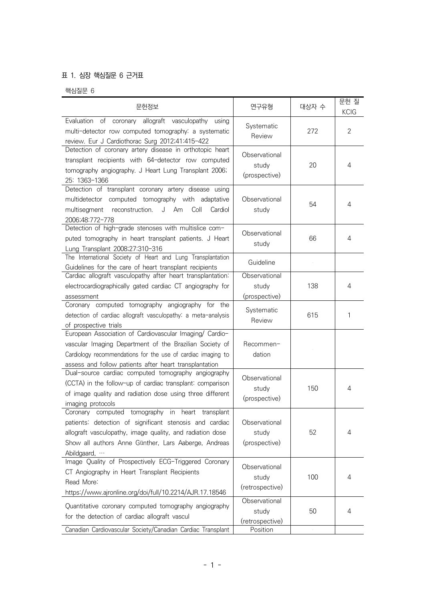## 표 1. 심장 핵심질문 6 근거표

핵심질문 6

| 문헌정보                                                                                                                                                                                                                                               | 연구유형                                      | 대상자 수 | 문헌질<br><b>KCIG</b> |
|----------------------------------------------------------------------------------------------------------------------------------------------------------------------------------------------------------------------------------------------------|-------------------------------------------|-------|--------------------|
| Evaluation of coronary allograft vasculopathy<br>using<br>multi-detector row computed tomography: a systematic<br>review. Eur J Cardiothorac Surg 2012;41:415-422                                                                                  | Systematic<br>Review                      | 272   | 2                  |
| Detection of coronary artery disease in orthotopic heart<br>transplant recipients with 64-detector row computed<br>tomography angiography. J Heart Lung Transplant 2006;<br>25: 1363-1366                                                          | Observational<br>study<br>(prospective)   | 20    | 4                  |
| Detection of transplant coronary artery disease using<br>multidetector computed tomography with adaptative<br>Coll<br>multisegment<br>reconstruction.<br>J Am<br>Cardiol<br>2006;48:772-778                                                        | Observational<br>study                    | 54    | 4                  |
| Detection of high-grade stenoses with multislice com-<br>puted tomography in heart transplant patients. J Heart<br>Lung Transplant 2008;27:310-316                                                                                                 | Observational<br>study                    | 66    | 4                  |
| The International Society of Heart and Lung Transplantation<br>Guidelines for the care of heart transplant recipients                                                                                                                              | Guideline                                 |       |                    |
| Cardiac allograft vasculopathy after heart transplantation:<br>electrocardiographically gated cardiac CT angiography for<br>assessment                                                                                                             | Observational<br>study<br>(prospective)   | 138   | 4                  |
| Coronary computed tomography angiography for the<br>detection of cardiac allograft vasculopathy: a meta-analysis<br>of prospective trials                                                                                                          | Systematic<br>Review                      | 615   | 1                  |
| European Association of Cardiovascular Imaging/ Cardio-<br>vascular Imaging Department of the Brazilian Society of<br>Cardiology recommendations for the use of cardiac imaging to<br>assess and follow patients after heart transplantation       | Recommen-<br>dation                       |       |                    |
| Dual-source cardiac computed tomography angiography<br>(CCTA) in the follow-up of cardiac transplant: comparison<br>of image quality and radiation dose using three different<br>imaging protocols                                                 | Observational<br>study<br>(prospective)   | 150   | 4                  |
| Coronary computed tomography in heart<br>transplant<br>patients: detection of significant stenosis and cardiac<br>allograft vasculopathy, image quality, and radiation dose<br>Show all authors Anne Günther, Lars Aaberge, Andreas<br>Abildgaard, | Observational<br>study<br>(prospective)   | 52    | 4                  |
| Image Quality of Prospectively ECG-Triggered Coronary<br>CT Angiography in Heart Transplant Recipients<br>Read More:<br>https://www.ajronline.org/doi/full/10.2214/AJR.17.18546                                                                    | Observational<br>study<br>(retrospective) | 100   | 4                  |
| Quantitative coronary computed tomography angiography<br>for the detection of cardiac allograft vascul                                                                                                                                             | Observational<br>study<br>(retrospective) | 50    | 4                  |
| Canadian Cardiovascular Society/Canadian Cardiac Transplant                                                                                                                                                                                        | Position                                  |       |                    |